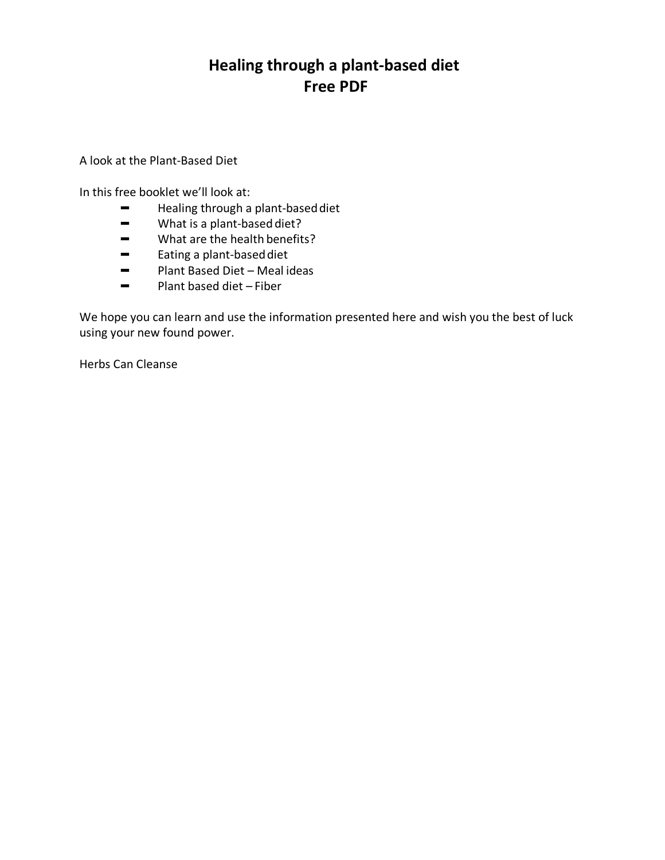## **Healing through a plant-based diet Free PDF**

A look at the Plant-Based Diet

In this free booklet we'll look at:

- **E** Healing through a plant-based diet<br>
Healing through a plant-based diet? ■ Healing through a plant-bas<br>■ [What is a plant-based](#page-1-0) diet?
- 
- What is a plant-based diet?<br>- [What are the health](#page-2-0) benefits? **The Status What are the health bend<br>
Stating a plant-based diet**
- 
- **=** Eating a plant-based diet<br> **=** [Plant Based Diet –](#page-5-0) Meal ideas **EXEC** Plant Based Diet – Meal ideas<br> **EXEC** [Plant based diet –](#page-7-0) Fiber
- 

We hope you can learn and use the information presented here and wish you the best of luck using your new found power.

Herbs Can Cleanse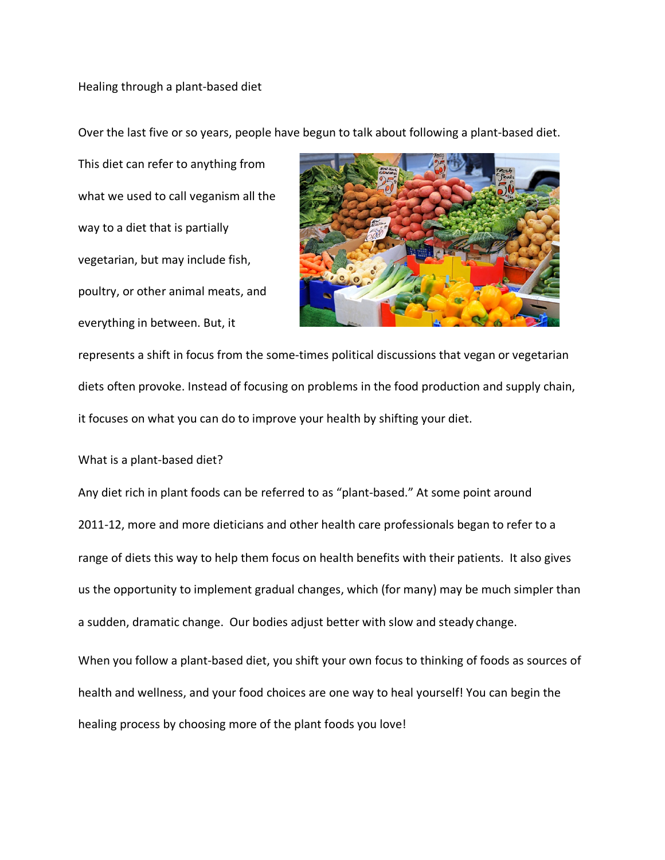<span id="page-1-0"></span>Healing through a plant-based diet

Over the last five or so years, people have begun to talk about following a plant-based diet.

This diet can refer to anything from what we used to call veganism all the way to a diet that is partially vegetarian, but may include fish, poultry, or other animal meats, and everything in between. But, it



represents a shift in focus from the some-times political discussions that vegan or vegetarian diets often provoke. Instead of focusing on problems in the food production and supply chain, it focuses on what you can do to improve your health by shifting your diet.

What is a plant-based diet?

Any diet rich in plant foods can be referred to as "plant-based." At some point around 2011-12, more and more dieticians and other health care professionals began to refer to a range of diets this way to help them focus on health benefits with their patients. It also gives us the opportunity to implement gradual changes, which (for many) may be much simpler than a sudden, dramatic change. Our bodies adjust better with slow and steady change. When you follow a plant-based diet, you shift your own focus to thinking of foods as sources of health and wellness, and your food choices are one way to heal yourself! You can begin the healing process by choosing more of the plant foods you love!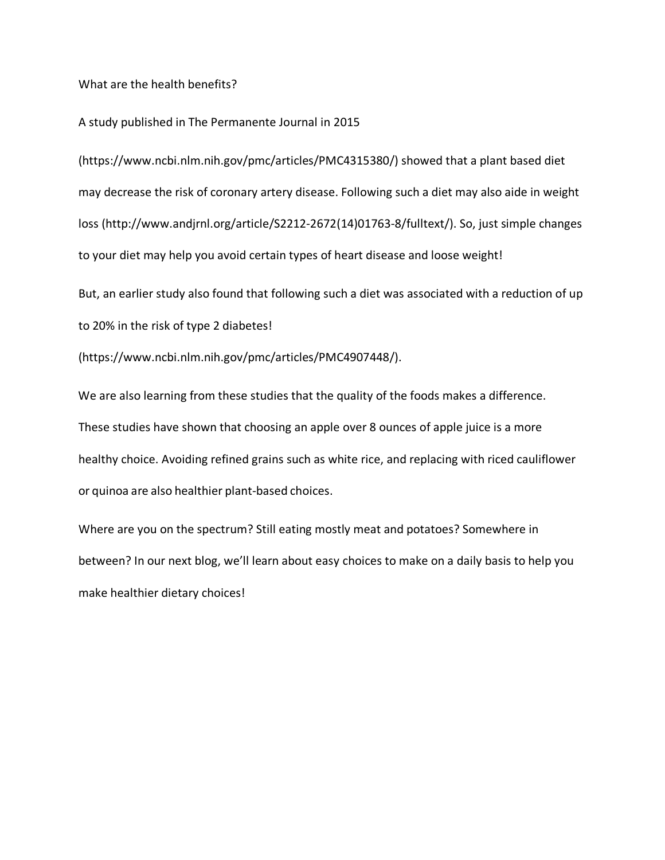## <span id="page-2-0"></span>What are the health benefits?

A study published in The Permanente Journal in 2015

(https://www.ncbi.nlm.nih.gov/pmc/articles/PMC4315380/) showed that a plant based diet may decrease the risk of coronary artery disease. Following such a diet may also aide in weight loss (http://www.andjrnl.org/article/S2212-2672(14)01763-8/fulltext/). So, just simple changes to your diet may help you avoid certain types of heart disease and loose weight!

But, an earlier study also found that following such a diet was associated with a reduction of up to 20% in the risk of type 2 diabetes!

(https://www.ncbi.nlm.nih.gov/pmc/articles/PMC4907448/).

We are also learning from these studies that the quality of the foods makes a difference. These studies have shown that choosing an apple over 8 ounces of apple juice is a more healthy choice. Avoiding refined grains such as white rice, and replacing with riced cauliflower or quinoa are also healthier plant-based choices.

Where are you on the spectrum? Still eating mostly meat and potatoes? Somewhere in between? In our next blog, we'll learn about easy choices to make on a daily basis to help you make healthier dietary choices!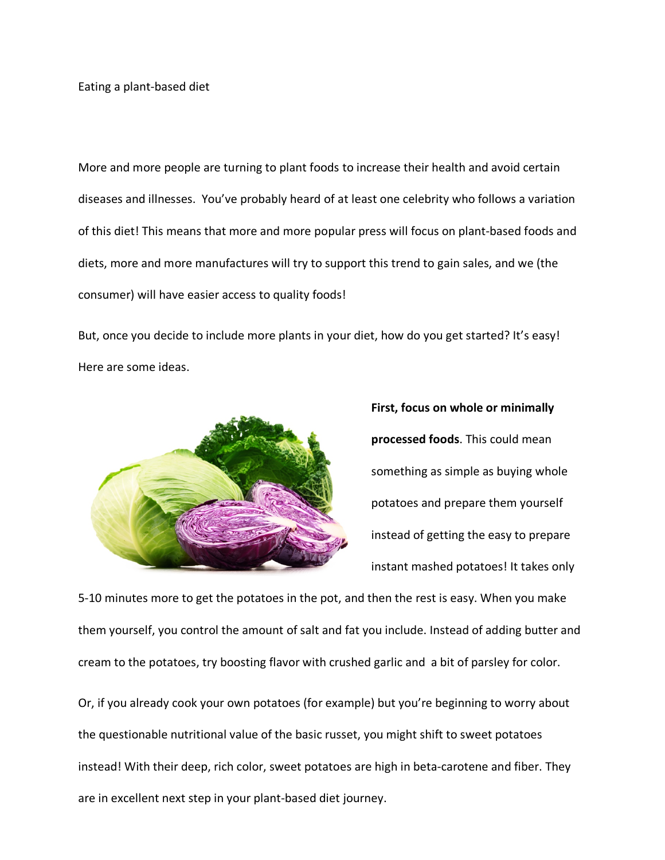<span id="page-3-0"></span>Eating a plant-based diet

More and more people are turning to plant foods to increase their health and avoid certain diseases and illnesses. You've probably heard of at least one celebrity who follows a variation of this diet! This means that more and more popular press will focus on plant-based foods and diets, more and more manufactures will try to support this trend to gain sales, and we (the consumer) will have easier access to quality foods!

But, once you decide to include more plants in your diet, how do you get started? It's easy! Here are some ideas.



**First, focus on whole or minimally processed foods**. This could mean something as simple as buying whole potatoes and prepare them yourself instead of getting the easy to prepare instant mashed potatoes! It takes only

5-10 minutes more to get the potatoes in the pot, and then the rest is easy. When you make them yourself, you control the amount of salt and fat you include. Instead of adding butter and cream to the potatoes, try boosting flavor with crushed garlic and a bit of parsley for color.

Or, if you already cook your own potatoes (for example) but you're beginning to worry about the questionable nutritional value of the basic russet, you might shift to sweet potatoes instead! With their deep, rich color, sweet potatoes are high in beta-carotene and fiber. They are in excellent next step in your plant-based diet journey.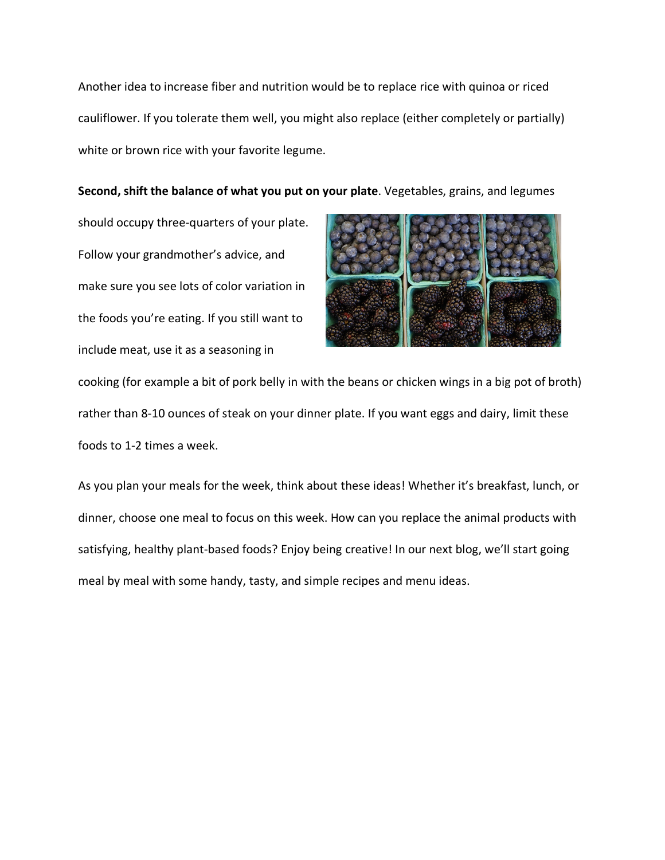Another idea to increase fiber and nutrition would be to replace rice with quinoa or riced cauliflower. If you tolerate them well, you might also replace (either completely or partially) white or brown rice with your favorite legume.

**Second, shift the balance of what you put on your plate**. Vegetables, grains, and legumes

should occupy three-quarters of your plate. Follow your grandmother's advice, and make sure you see lots of color variation in the foods you're eating. If you still want to include meat, use it as a seasoning in



cooking (for example a bit of pork belly in with the beans or chicken wings in a big pot of broth) rather than 8-10 ounces of steak on your dinner plate. If you want eggs and dairy, limit these foods to 1-2 times a week.

As you plan your meals for the week, think about these ideas! Whether it's breakfast, lunch, or dinner, choose one meal to focus on this week. How can you replace the animal products with satisfying, healthy plant-based foods? Enjoy being creative! In our next blog, we'll start going meal by meal with some handy, tasty, and simple recipes and menu ideas.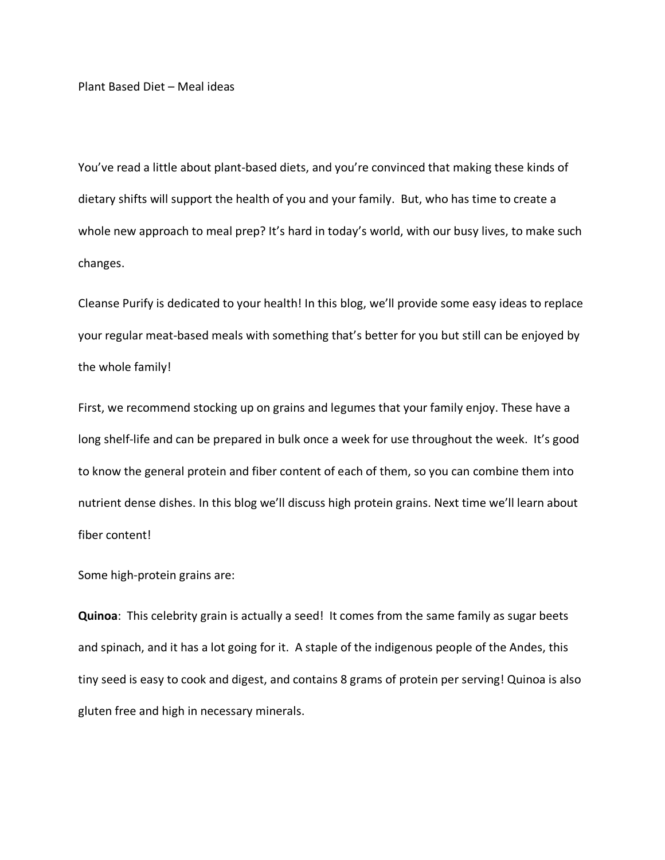<span id="page-5-0"></span>Plant Based Diet – Meal ideas

You've read a little about plant-based diets, and you're convinced that making these kinds of dietary shifts will support the health of you and your family. But, who has time to create a whole new approach to meal prep? It's hard in today's world, with our busy lives, to make such changes.

Cleanse Purify is dedicated to your health! In this blog, we'll provide some easy ideas to replace your regular meat-based meals with something that's better for you but still can be enjoyed by the whole family!

First, we recommend stocking up on grains and legumes that your family enjoy. These have a long shelf-life and can be prepared in bulk once a week for use throughout the week. It's good to know the general protein and fiber content of each of them, so you can combine them into nutrient dense dishes. In this blog we'll discuss high protein grains. Next time we'll learn about fiber content!

Some high-protein grains are:

**Quinoa**: This celebrity grain is actually a seed! It comes from the same family as sugar beets and spinach, and it has a lot going for it. A staple of the indigenous people of the Andes, this tiny seed is easy to cook and digest, and contains 8 grams of protein per serving! Quinoa is also gluten free and high in necessary minerals.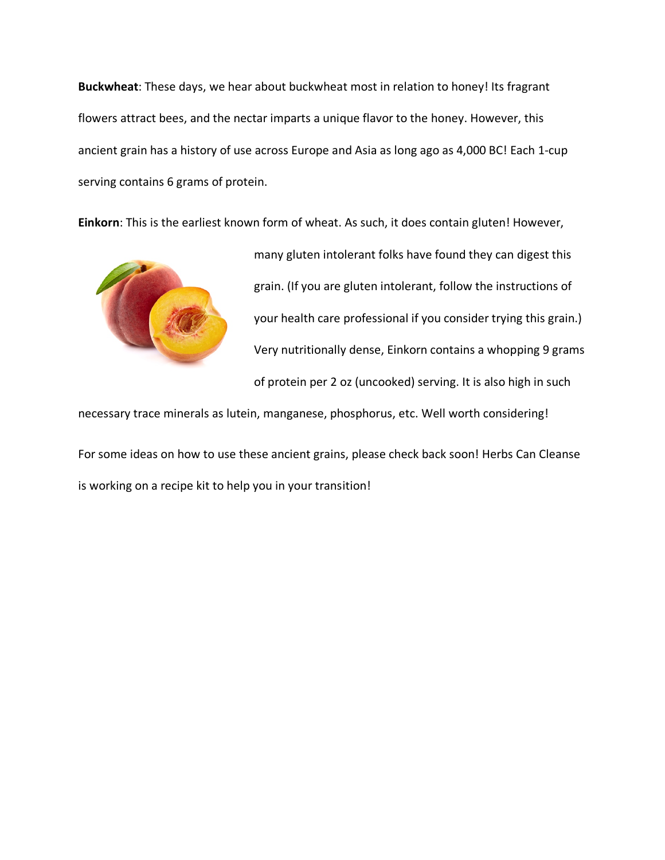**Buckwheat**: These days, we hear about buckwheat most in relation to honey! Its fragrant flowers attract bees, and the nectar imparts a unique flavor to the honey. However, this ancient grain has a history of use across Europe and Asia as long ago as 4,000 BC! Each 1-cup serving contains 6 grams of protein.

**Einkorn**: This is the earliest known form of wheat. As such, it does contain gluten! However,



many gluten intolerant folks have found they can digest this grain. (If you are gluten intolerant, follow the instructions of your health care professional if you consider trying this grain.) Very nutritionally dense, Einkorn contains a whopping 9 grams of protein per 2 oz (uncooked) serving. It is also high in such

necessary trace minerals as lutein, manganese, phosphorus, etc. Well worth considering!

For some ideas on how to use these ancient grains, please check back soon! Herbs Can Cleanse is working on a recipe kit to help you in your transition!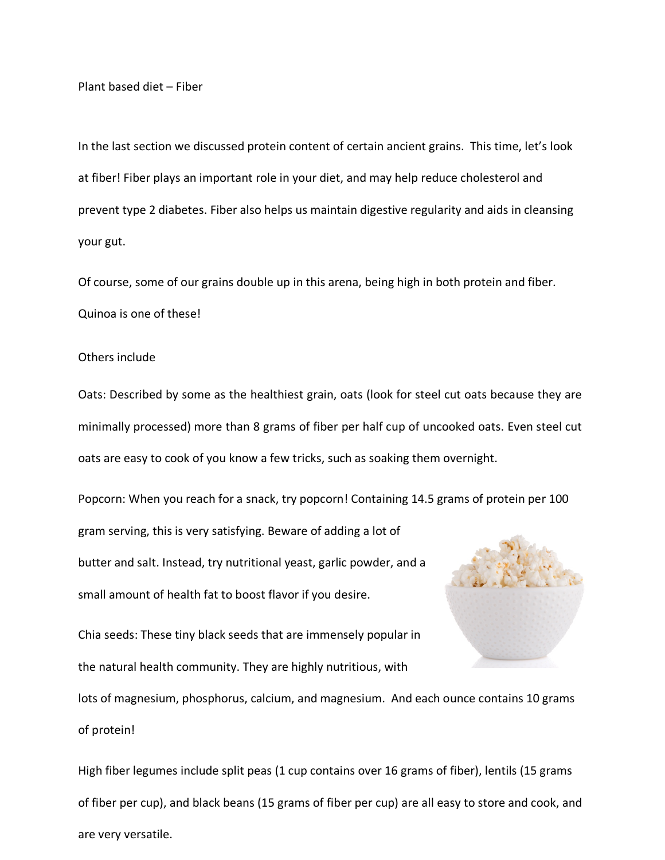<span id="page-7-0"></span>Plant based diet – Fiber

In the last section we discussed protein content of certain ancient grains. This time, let's look at fiber! Fiber plays an important role in your diet, and may help reduce cholesterol and prevent type 2 diabetes. Fiber also helps us maintain digestive regularity and aids in cleansing your gut.

Of course, some of our grains double up in this arena, being high in both protein and fiber. Quinoa is one of these!

## Others include

Oats: Described by some as the healthiest grain, oats (look for steel cut oats because they are minimally processed) more than 8 grams of fiber per half cup of uncooked oats. Even steel cut oats are easy to cook of you know a few tricks, such as soaking them overnight.

Popcorn: When you reach for a snack, try popcorn! Containing 14.5 grams of protein per 100

gram serving, this is very satisfying. Beware of adding a lot of butter and salt. Instead, try nutritional yeast, garlic powder, and a small amount of health fat to boost flavor if you desire.



Chia seeds: These tiny black seeds that are immensely popular in the natural health community. They are highly nutritious, with

lots of magnesium, phosphorus, calcium, and magnesium. And each ounce contains 10 grams of protein!

High fiber legumes include split peas (1 cup contains over 16 grams of fiber), lentils (15 grams of fiber per cup), and black beans (15 grams of fiber per cup) are all easy to store and cook, and are very versatile.